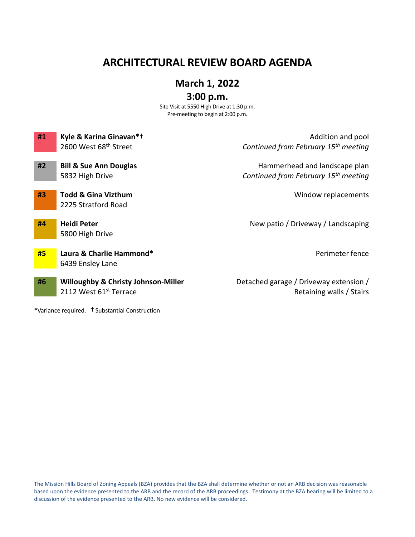# **ARCHITECTURAL REVIEW BOARD AGENDA**

## **March 1, 2022**

## **3:00 p.m.**

Site Visit at 5550 High Drive at 1:30 p.m. Pre-meeting to begin at 2:00 p.m.

| #1 | Kyle & Karina Ginavan*+                        | Addition and pool                                |
|----|------------------------------------------------|--------------------------------------------------|
|    | 2600 West 68 <sup>th</sup> Street              | Continued from February 15 <sup>th</sup> meeting |
| #2 | <b>Bill &amp; Sue Ann Douglas</b>              | Hammerhead and landscape plan                    |
|    | 5832 High Drive                                | Continued from February 15 <sup>th</sup> meeting |
| #3 | <b>Todd &amp; Gina Vizthum</b>                 | Window replacements                              |
|    | 2225 Stratford Road                            |                                                  |
| #4 | Heidi Peter                                    | New patio / Driveway / Landscaping               |
|    | 5800 High Drive                                |                                                  |
| #5 | Laura & Charlie Hammond*                       | Perimeter fence                                  |
|    | 6439 Ensley Lane                               |                                                  |
| #6 | <b>Willoughby &amp; Christy Johnson-Miller</b> | Detached garage / Driveway extension /           |
|    | 2112 West 61st Terrace                         | Retaining walls / Stairs                         |

\*Variance required. †Substantial Construction

The Mission Hills Board of Zoning Appeals (BZA) provides that the BZA shall determine whether or not an ARB decision was reasonable based upon the evidence presented to the ARB and the record of the ARB proceedings. Testimony at the BZA hearing will be limited to a discussion of the evidence presented to the ARB. No new evidence will be considered.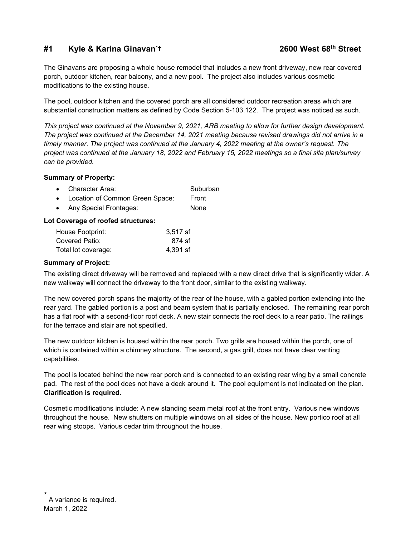## **#1 Kyle & Karina Ginavan[\\*](#page-1-0)**

The Ginavans are proposing a whole house remodel that includes a new front driveway, new rear covered porch, outdoor kitchen, rear balcony, and a new pool. The project also includes various cosmetic modifications to the existing house.

The pool, outdoor kitchen and the covered porch are all considered outdoor recreation areas which are substantial construction matters as defined by Code Section 5-103.122. The project was noticed as such.

*This project was continued at the November 9, 2021, ARB meeting to allow for further design development. The project was continued at the December 14, 2021 meeting because revised drawings did not arrive in a timely manner. The project was continued at the January 4, 2022 meeting at the owner's request. The project was continued at the January 18, 2022 and February 15, 2022 meetings so a final site plan/survey can be provided.*

### **Summary of Property:**

| • Character Area:                 | Suburban |
|-----------------------------------|----------|
| • Location of Common Green Space: | Front    |
| • Any Special Frontages:          | None     |

### **Lot Coverage of roofed structures:**

| House Footprint:    | 3,517 sf |
|---------------------|----------|
| Covered Patio:      | 874 sf   |
| Total lot coverage: | 4,391 sf |

#### **Summary of Project:**

The existing direct driveway will be removed and replaced with a new direct drive that is significantly wider. A new walkway will connect the driveway to the front door, similar to the existing walkway.

The new covered porch spans the majority of the rear of the house, with a gabled portion extending into the rear yard. The gabled portion is a post and beam system that is partially enclosed. The remaining rear porch has a flat roof with a second-floor roof deck. A new stair connects the roof deck to a rear patio. The railings for the terrace and stair are not specified.

The new outdoor kitchen is housed within the rear porch. Two grills are housed within the porch, one of which is contained within a chimney structure. The second, a gas grill, does not have clear venting capabilities.

The pool is located behind the new rear porch and is connected to an existing rear wing by a small concrete pad. The rest of the pool does not have a deck around it. The pool equipment is not indicated on the plan. **Clarification is required.**

Cosmetic modifications include: A new standing seam metal roof at the front entry. Various new windows throughout the house. New shutters on multiple windows on all sides of the house. New portico roof at all rear wing stoops. Various cedar trim throughout the house.

<span id="page-1-0"></span>March 1, 2022 A variance is required.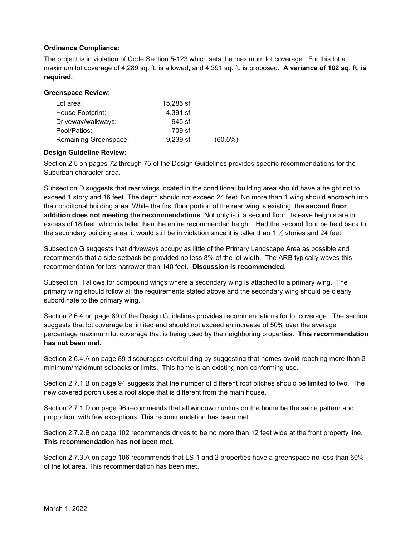### **Ordinance Compliance:**

The project is in violation of Code Section 5-123 which sets the maximum lot coverage. For this lot a maximum lot coverage of 4,289 sq. ft. is allowed, and 4,391 sq. ft. is proposed. **A variance of 102 sq. ft. is required.**

#### **Greenspace Review:**

| Lot area:             | 15,285 sf  |            |
|-----------------------|------------|------------|
| House Footprint:      | 4,391 sf   |            |
| Driveway/walkways:    | $945$ sf   |            |
| Pool/Patios:          | 709 sf     |            |
| Remaining Greenspace: | $9,239$ sf | $(60.5\%)$ |

#### **Design Guideline Review:**

Section 2.5 on pages 72 through 75 of the Design Guidelines provides specific recommendations for the Suburban character area.

Subsection D suggests that rear wings located in the conditional building area should have a height not to exceed 1 story and 16 feet. The depth should not exceed 24 feet. No more than 1 wing should encroach into the conditional building area. While the first floor portion of the rear wing is existing, the **second floor addition does not meeting the recommendations**. Not only is it a second floor, its eave heights are in excess of 18 feet, which is taller than the entire recommended height. Had the second floor be held back to the secondary building area, it would still be in violation since it is taller than 1  $\frac{1}{2}$  stories and 24 feet.

Subsection G suggests that driveways occupy as little of the Primary Landscape Area as possible and recommends that a side setback be provided no less 8% of the lot width. The ARB typically waves this recommendation for lots narrower than 140 feet. **Discussion is recommended.** 

Subsection H allows for compound wings where a secondary wing is attached to a primary wing. The primary wing should follow all the requirements stated above and the secondary wing should be clearly subordinate to the primary wing.

Section 2.6.4 on page 89 of the Design Guidelines provides recommendations for lot coverage. The section suggests that lot coverage be limited and should not exceed an increase of 50% over the average percentage maximum lot coverage that is being used by the neighboring properties. **This recommendation has not been met.** 

Section 2.6.4.A on page 89 discourages overbuilding by suggesting that homes avoid reaching more than 2 minimum/maximum setbacks or limits. This home is an existing non-conforming use.

Section 2.7.1 B on page 94 suggests that the number of different roof pitches should be limited to two. The new covered porch uses a roof slope that is different from the main house.

Section 2.7.1 D on page 96 recommends that all window muntins on the home be the same pattern and proportion, with few exceptions. This recommendation has been met.

Section 2.7.2.B on page 102 recommends drives to be no more than 12 feet wide at the front property line. **This recommendation has not been met.**

Section 2.7.3.A on page 106 recommends that LS-1 and 2 properties have a greenspace no less than 60% of the lot area. This recommendation has been met.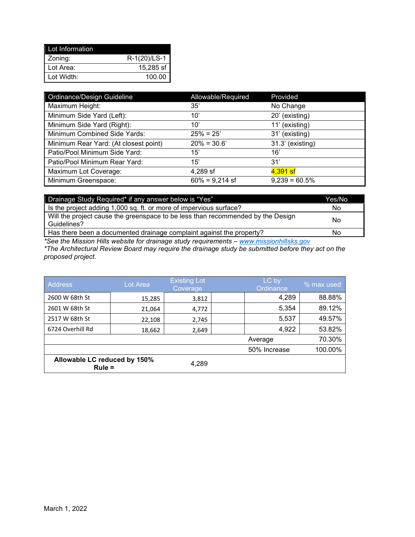| Lot Information |                |
|-----------------|----------------|
| Zoning:         | $R-1(20)/LS-1$ |
| Lot Area:       | 15,285 sf      |
| Lot Width:      | 100.00         |

| Ordinance/Design Guideline            | Allowable/Required | Provided         |
|---------------------------------------|--------------------|------------------|
| Maximum Height:                       | 35'                | No Change        |
| Minimum Side Yard (Left):             | 10'                | 20' (existing)   |
| Minimum Side Yard (Right):            | 10'                | 11' (existing)   |
| Minimum Combined Side Yards:          | $25% = 25'$        | 31' (existing)   |
| Minimum Rear Yard: (At closest point) | $20\% = 30.6'$     | 31.3' (existing) |
| Patio/Pool Minimum Side Yard:         | 15'                | 16'              |
| Patio/Pool Minimum Rear Yard:         | 15'                | 31'              |
| Maximum Lot Coverage:                 | 4,289 sf           | 4,391 sf         |
| Minimum Greenspace:                   | $60\% = 9,214$ sf  | $9,239 = 60.5\%$ |

| Drainage Study Required* if any answer below is "Yes"                                          | Yes/No |
|------------------------------------------------------------------------------------------------|--------|
| Is the project adding 1,000 sq. ft. or more of impervious surface?                             | No     |
| Will the project cause the greenspace to be less than recommended by the Design<br>Guidelines? | No     |
| Has there been a documented drainage complaint against the property?                           | No     |

*\*See the Mission Hills website for drainage study requirements – [www.missionhillsks.gov](http://www.missionhillsks.gov/)*

*\*The Architectural Review Board may require the drainage study be submitted before they act on the proposed project.*

| <b>Address</b>                           | Lot Area | <b>Existing Lot</b><br>Coverage | LC by<br>Ordinance | % max used |
|------------------------------------------|----------|---------------------------------|--------------------|------------|
| 2600 W 68th St                           | 15,285   | 3,812                           | 4,289              | 88.88%     |
| 2601 W 68th St                           | 21,064   | 4,772                           | 5,354              | 89.12%     |
| 2517 W 68th St                           | 22,108   | 2,745                           | 5,537              | 49.57%     |
| 6724 Overhill Rd                         | 18,662   | 2,649                           | 4,922              | 53.82%     |
|                                          |          |                                 | Average            | 70.30%     |
|                                          |          |                                 | 50% Increase       | 100.00%    |
| Allowable LC reduced by 150%<br>$Rule =$ |          | 4,289                           |                    |            |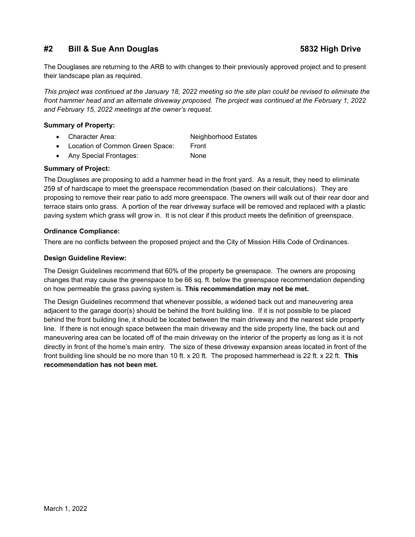## **#2 Bill & Sue Ann Douglas 5832 High Drive**

The Douglases are returning to the ARB to with changes to their previously approved project and to present their landscape plan as required.

*This project was continued at the January 18, 2022 meeting so the site plan could be revised to eliminate the front hammer head and an alternate driveway proposed. The project was continued at the February 1, 2022 and February 15, 2022 meetings at the owner's request.*

#### **Summary of Property:**

- Character Area: Neighborhood Estates
- Location of Common Green Space: Front
- Any Special Frontages: None

#### **Summary of Project:**

The Douglases are proposing to add a hammer head in the front yard. As a result, they need to eliminate 259 sf of hardscape to meet the greenspace recommendation (based on their calculations). They are proposing to remove their rear patio to add more greenspace. The owners will walk out of their rear door and terrace stairs onto grass. A portion of the rear driveway surface will be removed and replaced with a plastic paving system which grass will grow in. It is not clear if this product meets the definition of greenspace.

#### **Ordinance Compliance:**

There are no conflicts between the proposed project and the City of Mission Hills Code of Ordinances.

#### **Design Guideline Review:**

The Design Guidelines recommend that 60% of the property be greenspace. The owners are proposing changes that may cause the greenspace to be 66 sq. ft. below the greenspace recommendation depending on how permeable the grass paving system is. **This recommendation may not be met.**

The Design Guidelines recommend that whenever possible, a widened back out and maneuvering area adjacent to the garage door(s) should be behind the front building line. If it is not possible to be placed behind the front building line, it should be located between the main driveway and the nearest side property line. If there is not enough space between the main driveway and the side property line, the back out and maneuvering area can be located off of the main driveway on the interior of the property as long as it is not directly in front of the home's main entry. The size of these driveway expansion areas located in front of the front building line should be no more than 10 ft. x 20 ft. The proposed hammerhead is 22 ft. x 22 ft. **This recommendation has not been met.**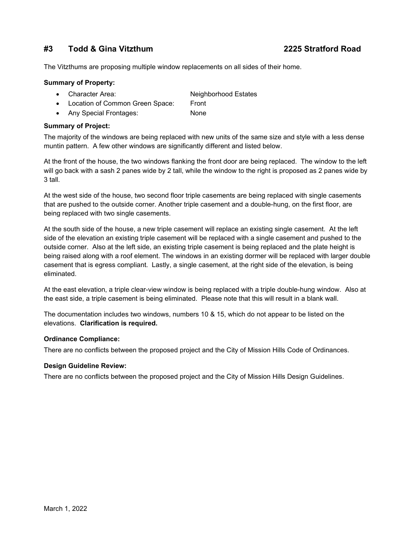## **#3 Todd & Gina Vitzthum 2225 Stratford Road**

The Vitzthums are proposing multiple window replacements on all sides of their home.

#### **Summary of Property:**

- Character Area: Neighborhood Estates
- Location of Common Green Space: Front
- Any Special Frontages: None

#### **Summary of Project:**

The majority of the windows are being replaced with new units of the same size and style with a less dense muntin pattern. A few other windows are significantly different and listed below.

At the front of the house, the two windows flanking the front door are being replaced. The window to the left will go back with a sash 2 panes wide by 2 tall, while the window to the right is proposed as 2 panes wide by 3 tall.

At the west side of the house, two second floor triple casements are being replaced with single casements that are pushed to the outside corner. Another triple casement and a double-hung, on the first floor, are being replaced with two single casements.

At the south side of the house, a new triple casement will replace an existing single casement. At the left side of the elevation an existing triple casement will be replaced with a single casement and pushed to the outside corner. Also at the left side, an existing triple casement is being replaced and the plate height is being raised along with a roof element. The windows in an existing dormer will be replaced with larger double casement that is egress compliant. Lastly, a single casement, at the right side of the elevation, is being eliminated.

At the east elevation, a triple clear-view window is being replaced with a triple double-hung window. Also at the east side, a triple casement is being eliminated. Please note that this will result in a blank wall.

The documentation includes two windows, numbers 10 & 15, which do not appear to be listed on the elevations. **Clarification is required.**

#### **Ordinance Compliance:**

There are no conflicts between the proposed project and the City of Mission Hills Code of Ordinances.

#### **Design Guideline Review:**

There are no conflicts between the proposed project and the City of Mission Hills Design Guidelines.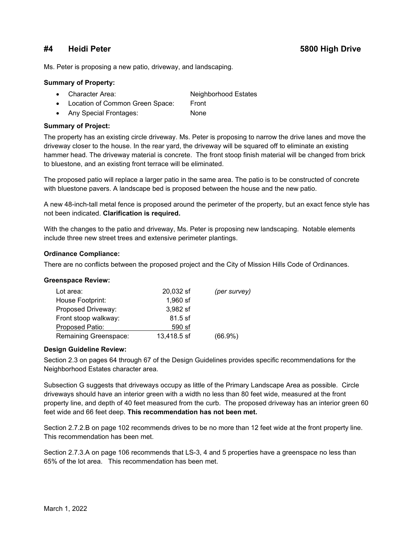## **#4 Heidi Peter 5800 High Drive**

Ms. Peter is proposing a new patio, driveway, and landscaping.

#### **Summary of Property:**

- Character Area: Neighborhood Estates
- Location of Common Green Space: Front
- Any Special Frontages: None

#### **Summary of Project:**

The property has an existing circle driveway. Ms. Peter is proposing to narrow the drive lanes and move the driveway closer to the house. In the rear yard, the driveway will be squared off to eliminate an existing hammer head. The driveway material is concrete. The front stoop finish material will be changed from brick to bluestone, and an existing front terrace will be eliminated.

The proposed patio will replace a larger patio in the same area. The patio is to be constructed of concrete with bluestone pavers. A landscape bed is proposed between the house and the new patio.

A new 48-inch-tall metal fence is proposed around the perimeter of the property, but an exact fence style has not been indicated. **Clarification is required.**

With the changes to the patio and driveway, Ms. Peter is proposing new landscaping. Notable elements include three new street trees and extensive perimeter plantings.

#### **Ordinance Compliance:**

There are no conflicts between the proposed project and the City of Mission Hills Code of Ordinances.

#### **Greenspace Review:**

| Lot area:             | 20,032 sf   | (per survey) |
|-----------------------|-------------|--------------|
| House Footprint:      | 1,960 sf    |              |
| Proposed Driveway:    | 3,982 sf    |              |
| Front stoop walkway:  | $81.5$ sf   |              |
| Proposed Patio:       | 590 sf      |              |
| Remaining Greenspace: | 13,418.5 sf | $(66.9\%)$   |

#### **Design Guideline Review:**

Section 2.3 on pages 64 through 67 of the Design Guidelines provides specific recommendations for the Neighborhood Estates character area.

Subsection G suggests that driveways occupy as little of the Primary Landscape Area as possible. Circle driveways should have an interior green with a width no less than 80 feet wide, measured at the front property line, and depth of 40 feet measured from the curb. The proposed driveway has an interior green 60 feet wide and 66 feet deep. **This recommendation has not been met.**

Section 2.7.2.B on page 102 recommends drives to be no more than 12 feet wide at the front property line. This recommendation has been met.

Section 2.7.3.A on page 106 recommends that LS-3, 4 and 5 properties have a greenspace no less than 65% of the lot area. This recommendation has been met.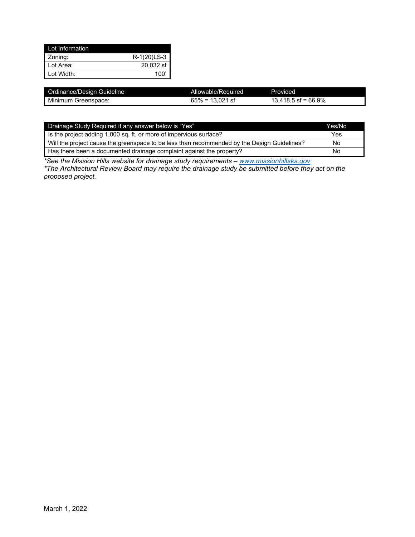| Lot Information           |             |
|---------------------------|-------------|
| Zoning:                   | R-1(20)LS-3 |
| Lot Area:                 | 20,032 sf   |
| $\blacksquare$ Lot Width: | 100'        |

| Ordinance/Design Guideline | Allowable/Required | Provided              |
|----------------------------|--------------------|-----------------------|
| Minimum Greenspace:        | $65\% = 13.021$ sf | $13.418.5$ sf = 66.9% |

| <b>Drainage Study Required if any answer below is "Yes"</b>                                 | Yes/No |
|---------------------------------------------------------------------------------------------|--------|
| Is the project adding 1,000 sq. ft. or more of impervious surface?                          | Yes    |
| Will the project cause the greenspace to be less than recommended by the Design Guidelines? | No     |
| Has there been a documented drainage complaint against the property?                        | No     |

*\*See the Mission Hills website for drainage study requirements – [www.missionhillsks.gov](http://www.missionhillsks.gov/)*

*\*The Architectural Review Board may require the drainage study be submitted before they act on the proposed project.*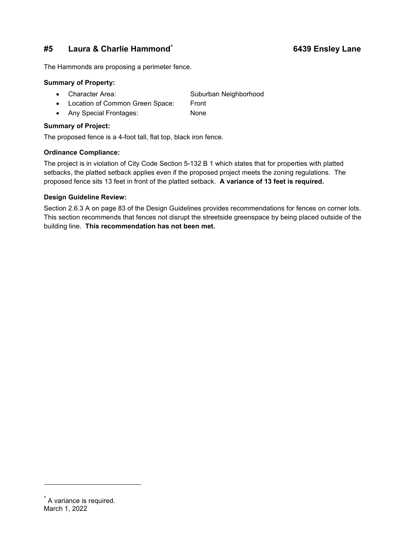## **#5 Laura & Charlie Hammond[\\*](#page-8-0) 6439 Ensley Lane**

The Hammonds are proposing a perimeter fence.

#### **Summary of Property:**

- Character Area: Suburban Neighborhood
- Location of Common Green Space: Front
- Any Special Frontages: None

#### **Summary of Project:**

The proposed fence is a 4-foot tall, flat top, black iron fence.

### **Ordinance Compliance:**

The project is in violation of City Code Section 5-132 B 1 which states that for properties with platted setbacks, the platted setback applies even if the proposed project meets the zoning regulations. The proposed fence sits 13 feet in front of the platted setback. **A variance of 13 feet is required.**

### **Design Guideline Review:**

Section 2.6.3 A on page 83 of the Design Guidelines provides recommendations for fences on corner lots. This section recommends that fences not disrupt the streetside greenspace by being placed outside of the building line. **This recommendation has not been met.**

### <span id="page-8-0"></span>March 1, 2022 \* A variance is required.